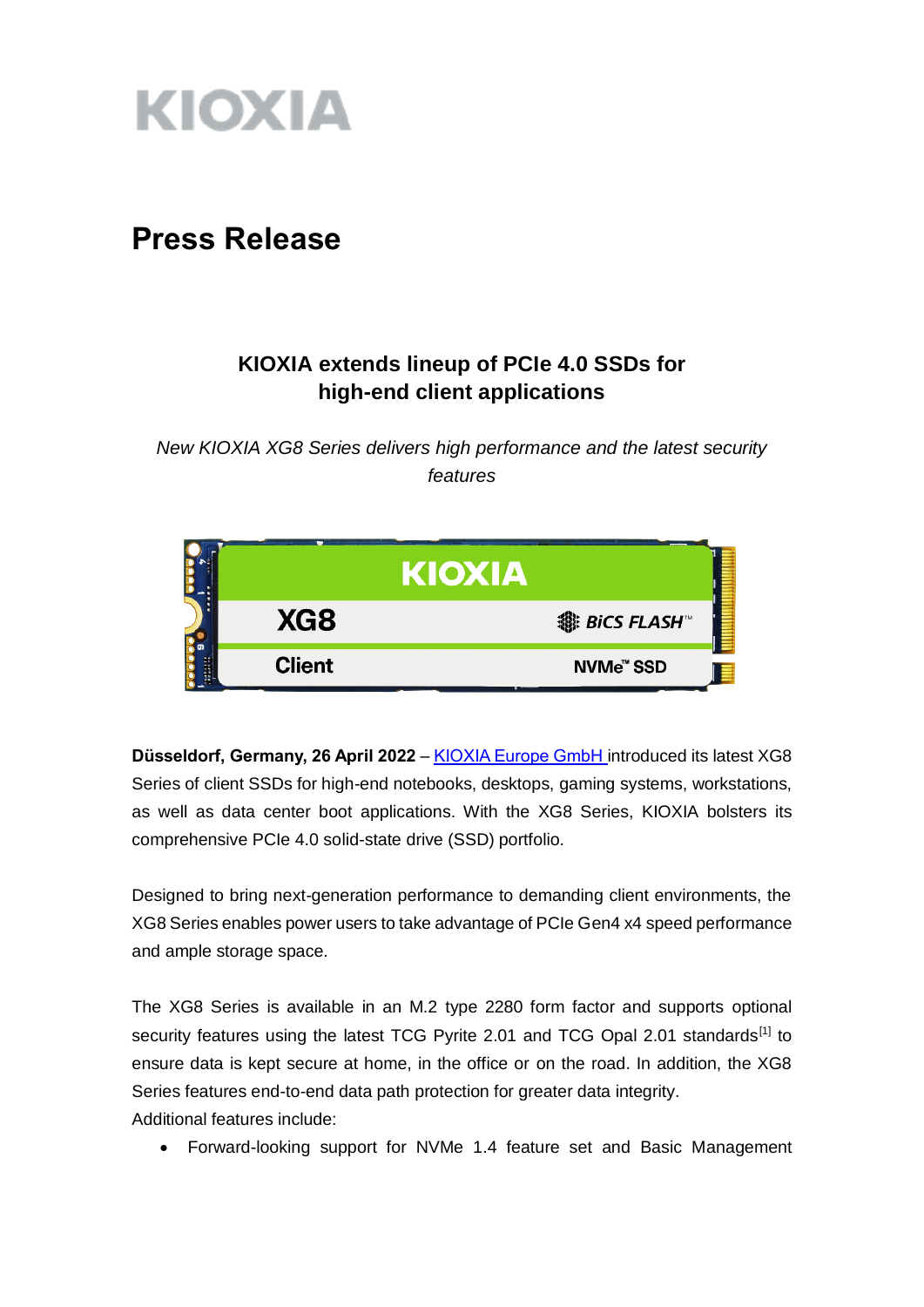

# **Press Release**

# **KIOXIA extends lineup of PCIe 4.0 SSDs for high-end client applications**

*New KIOXIA XG8 Series delivers high performance and the latest security features*



**Düsseldorf, Germany, 26 April 2022** – [KIOXIA Europe GmbH](https://www.kioxia.com/en-emea/top.html) introduced its latest XG8 Series of client SSDs for high-end notebooks, desktops, gaming systems, workstations, as well as data center boot applications. With the XG8 Series, KIOXIA bolsters its comprehensive PCIe 4.0 solid-state drive (SSD) portfolio.

Designed to bring next-generation performance to demanding client environments, the XG8 Series enables power users to take advantage of PCIe Gen4 x4 speed performance and ample storage space.

The XG8 Series is available in an M.2 type 2280 form factor and supports optional security features using the latest TCG Pyrite 2.01 and TCG Opal 2.01 standards<sup>[1]</sup> to ensure data is kept secure at home, in the office or on the road. In addition, the XG8 Series features end-to-end data path protection for greater data integrity.

Additional features include:

Forward-looking support for NVMe 1.4 feature set and Basic Management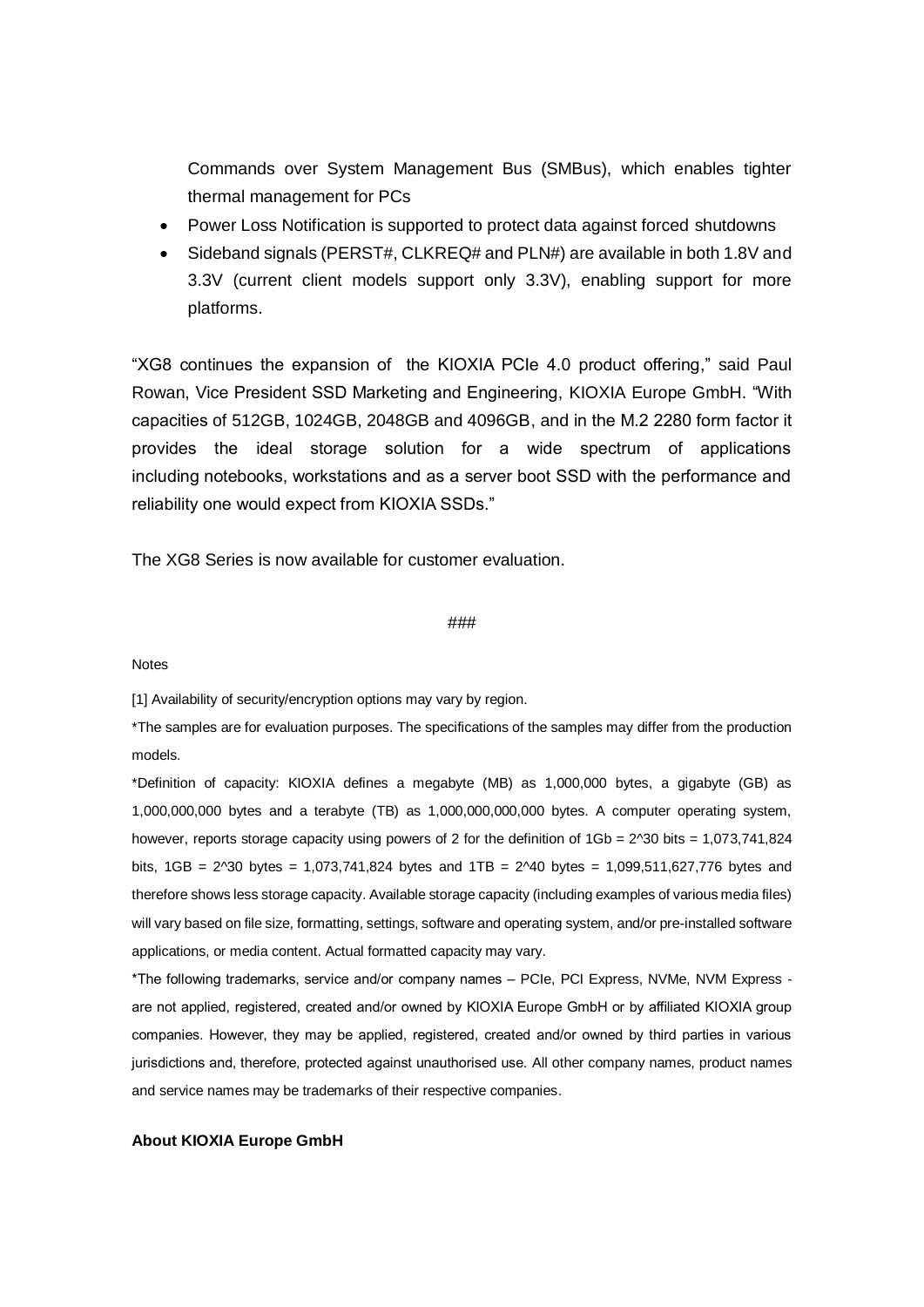Commands over System Management Bus (SMBus), which enables tighter thermal management for PCs

- Power Loss Notification is supported to protect data against forced shutdowns
- Sideband signals (PERST#, CLKREQ# and PLN#) are available in both 1.8V and 3.3V (current client models support only 3.3V), enabling support for more platforms.

"XG8 continues the expansion of the KIOXIA PCIe 4.0 product offering," said Paul Rowan, Vice President SSD Marketing and Engineering, KIOXIA Europe GmbH. "With capacities of 512GB, 1024GB, 2048GB and 4096GB, and in the M.2 2280 form factor it provides the ideal storage solution for a wide spectrum of applications including notebooks, workstations and as a server boot SSD with the performance and reliability one would expect from KIOXIA SSDs."

The XG8 Series is now available for customer evaluation.

#### ###

#### Notes

[1] Availability of security/encryption options may vary by region.

\*The samples are for evaluation purposes. The specifications of the samples may differ from the production models.

\*Definition of capacity: KIOXIA defines a megabyte (MB) as 1,000,000 bytes, a gigabyte (GB) as 1,000,000,000 bytes and a terabyte (TB) as 1,000,000,000,000 bytes. A computer operating system, however, reports storage capacity using powers of 2 for the definition of  $1Gb = 2^030$  bits = 1,073,741,824 bits,  $1GB = 2^{\text{30}}$  bytes = 1,073,741,824 bytes and  $1TB = 2^{\text{40}}$  bytes = 1,099,511,627,776 bytes and therefore shows less storage capacity. Available storage capacity (including examples of various media files) will vary based on file size, formatting, settings, software and operating system, and/or pre-installed software applications, or media content. Actual formatted capacity may vary.

\*The following trademarks, service and/or company names – PCIe, PCI Express, NVMe, NVM Express are not applied, registered, created and/or owned by KIOXIA Europe GmbH or by affiliated KIOXIA group companies. However, they may be applied, registered, created and/or owned by third parties in various jurisdictions and, therefore, protected against unauthorised use. All other company names, product names and service names may be trademarks of their respective companies.

#### **About KIOXIA Europe GmbH**